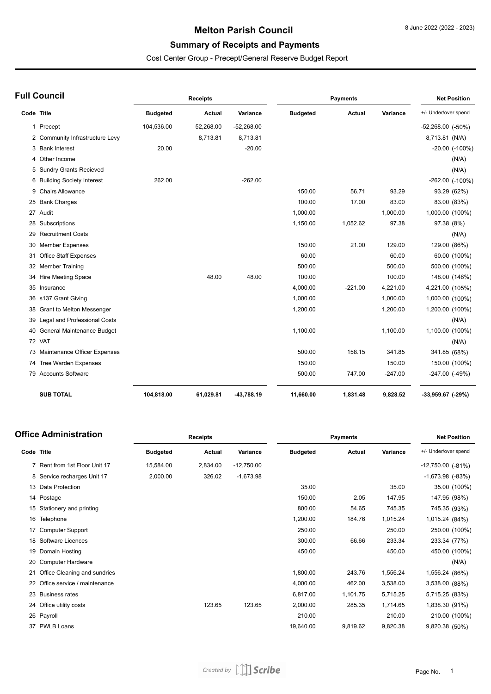### **Melton Parish Council**

# **Summary of Receipts and Payments**

Cost Center Group - Precept/General Reserve Budget Report

|            | <b>Full Council</b>             |                 | <b>Receipts</b> |              |                 | <b>Payments</b> |           | <b>Net Position</b>    |
|------------|---------------------------------|-----------------|-----------------|--------------|-----------------|-----------------|-----------|------------------------|
| Code Title |                                 | <b>Budgeted</b> | <b>Actual</b>   | Variance     | <b>Budgeted</b> | <b>Actual</b>   | Variance  | +/- Under/over spend   |
|            | 1 Precept                       | 104,536.00      | 52,268.00       | $-52,268.00$ |                 |                 |           | $-52,268.00$ $(-50\%)$ |
|            | 2 Community Infrastructure Levy |                 | 8,713.81        | 8,713.81     |                 |                 |           | 8,713.81 (N/A)         |
|            | 3 Bank Interest                 | 20.00           |                 | $-20.00$     |                 |                 |           | -20.00 (-100%)         |
|            | 4 Other Income                  |                 |                 |              |                 |                 |           | (N/A)                  |
|            | 5 Sundry Grants Recieved        |                 |                 |              |                 |                 |           | (N/A)                  |
|            | 6 Building Society Interest     | 262.00          |                 | $-262.00$    |                 |                 |           | -262.00 (-100%)        |
|            | 9 Chairs Allowance              |                 |                 |              | 150.00          | 56.71           | 93.29     | 93.29 (62%)            |
|            | 25 Bank Charges                 |                 |                 |              | 100.00          | 17.00           | 83.00     | 83.00 (83%)            |
|            | 27 Audit                        |                 |                 |              | 1,000.00        |                 | 1,000.00  | 1,000.00 (100%)        |
|            | 28 Subscriptions                |                 |                 |              | 1,150.00        | 1,052.62        | 97.38     | 97.38 (8%)             |
|            | 29 Recruitment Costs            |                 |                 |              |                 |                 |           | (N/A)                  |
|            | 30 Member Expenses              |                 |                 |              | 150.00          | 21.00           | 129.00    | 129.00 (86%)           |
|            | 31 Office Staff Expenses        |                 |                 |              | 60.00           |                 | 60.00     | 60.00 (100%)           |
|            | 32 Member Training              |                 |                 |              | 500.00          |                 | 500.00    | 500.00 (100%)          |
|            | 34 Hire Meeting Space           |                 | 48.00           | 48.00        | 100.00          |                 | 100.00    | 148.00 (148%)          |
|            | 35 Insurance                    |                 |                 |              | 4,000.00        | $-221.00$       | 4,221.00  | 4,221.00 (105%)        |
|            | 36 s137 Grant Giving            |                 |                 |              | 1,000.00        |                 | 1,000.00  | 1,000.00 (100%)        |
|            | 38 Grant to Melton Messenger    |                 |                 |              | 1,200.00        |                 | 1,200.00  | 1,200.00 (100%)        |
|            | 39 Legal and Professional Costs |                 |                 |              |                 |                 |           | (N/A)                  |
|            | 40 General Maintenance Budget   |                 |                 |              | 1,100.00        |                 | 1,100.00  | 1,100.00 (100%)        |
|            | 72 VAT                          |                 |                 |              |                 |                 |           | (N/A)                  |
|            | 73 Maintenance Officer Expenses |                 |                 |              | 500.00          | 158.15          | 341.85    | 341.85 (68%)           |
|            | 74 Tree Warden Expenses         |                 |                 |              | 150.00          |                 | 150.00    | 150.00 (100%)          |
|            | 79 Accounts Software            |                 |                 |              | 500.00          | 747.00          | $-247.00$ | $-247.00$ $(-49%)$     |
|            | <b>SUB TOTAL</b>                | 104,818.00      | 61,029.81       | -43,788.19   | 11,660.00       | 1,831.48        | 9,828.52  | $-33,959.67$ $(-29%)$  |

#### **Office Administration**

| ffice Administration |                               |                 | Receipts |              | <b>Payments</b> |          |          | <b>Net Position</b>   |  |
|----------------------|-------------------------------|-----------------|----------|--------------|-----------------|----------|----------|-----------------------|--|
| Code Title           |                               | <b>Budgeted</b> | Actual   | Variance     | <b>Budgeted</b> | Actual   | Variance | +/- Under/over spend  |  |
|                      | 7 Rent from 1st Floor Unit 17 | 15,584.00       | 2,834.00 | $-12,750.00$ |                 |          |          | $-12,750.00$ $(-81%)$ |  |
|                      | 8 Service recharges Unit 17   | 2,000.00        | 326.02   | $-1,673.98$  |                 |          |          | $-1,673.98$ $(-83%)$  |  |
|                      | 13 Data Protection            |                 |          |              | 35.00           |          | 35.00    | 35.00 (100%)          |  |
|                      | 14 Postage                    |                 |          |              | 150.00          | 2.05     | 147.95   | 147.95 (98%)          |  |
| 15                   | Stationery and printing       |                 |          |              | 800.00          | 54.65    | 745.35   | 745.35 (93%)          |  |
| 16                   | Telephone                     |                 |          |              | 1,200.00        | 184.76   | 1,015.24 | 1,015.24 (84%)        |  |
|                      | <b>Computer Support</b>       |                 |          |              | 250.00          |          | 250.00   | 250.00 (100%)         |  |
| 18                   | Software Licences             |                 |          |              | 300.00          | 66.66    | 233.34   | 233.34 (77%)          |  |
| 19                   | Domain Hosting                |                 |          |              | 450.00          |          | 450.00   | 450.00 (100%)         |  |
|                      | <b>Computer Hardware</b>      |                 |          |              |                 |          |          | (N/A)                 |  |
|                      | Office Cleaning and sundries  |                 |          |              | 1,800.00        | 243.76   | 1,556.24 | 1,556.24 (86%)        |  |
|                      | Office service / maintenance  |                 |          |              | 4,000.00        | 462.00   | 3,538.00 | 3,538.00 (88%)        |  |
| 23                   | <b>Business rates</b>         |                 |          |              | 6,817.00        | 1,101.75 | 5,715.25 | 5,715.25 (83%)        |  |
| 24                   | Office utility costs          |                 | 123.65   | 123.65       | 2,000.00        | 285.35   | 1,714.65 | 1,838.30 (91%)        |  |
|                      | 26 Payroll                    |                 |          |              | 210.00          |          | 210.00   | 210.00 (100%)         |  |
|                      | 37 PWLB Loans                 |                 |          |              | 19,640.00       | 9,819.62 | 9,820.38 | 9,820.38 (50%)        |  |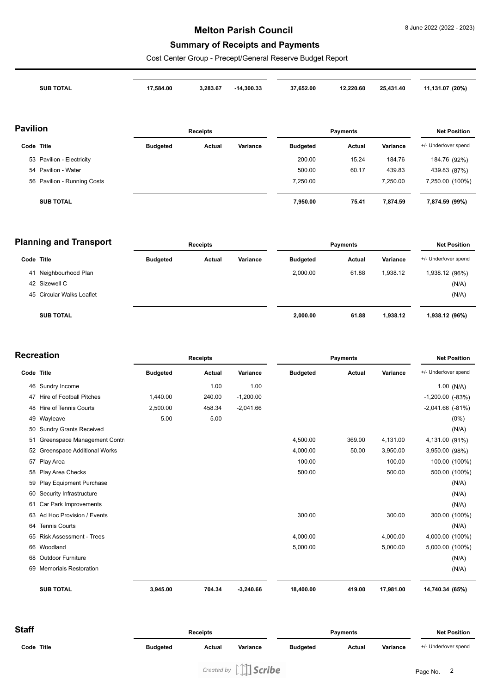### **Melton Parish Council**

# **Summary of Receipts and Payments**

Cost Center Group - Precept/General Reserve Budget Report

|            | <b>SUB TOTAL</b>            | 17,584.00       | 3,283.67        | $-14,300.33$ | 37,652.00       | 12,220.60       | 25,431.40 | 11,131.07 (20%)      |
|------------|-----------------------------|-----------------|-----------------|--------------|-----------------|-----------------|-----------|----------------------|
| Pavilion   |                             |                 | <b>Receipts</b> |              |                 | <b>Payments</b> |           | <b>Net Position</b>  |
| Code Title |                             | <b>Budgeted</b> | Actual          | Variance     | <b>Budgeted</b> | <b>Actual</b>   | Variance  | +/- Under/over spend |
|            | 53 Pavilion - Electricity   |                 |                 |              | 200.00          | 15.24           | 184.76    | 184.76 (92%)         |
|            | 54 Pavilion - Water         |                 |                 |              | 500.00          | 60.17           | 439.83    | 439.83 (87%)         |
|            | 56 Pavilion - Running Costs |                 |                 |              | 7,250.00        |                 | 7,250.00  | 7,250.00 (100%)      |
|            | <b>SUB TOTAL</b>            |                 |                 |              | 7,950.00        | 75.41           | 7,874.59  | 7,874.59 (99%)       |

|            | <b>Planning and Transport</b> |                 | <b>Receipts</b> |          |                 | <b>Payments</b> |          | <b>Net Position</b>  |
|------------|-------------------------------|-----------------|-----------------|----------|-----------------|-----------------|----------|----------------------|
| Code Title |                               | <b>Budgeted</b> | Actual          | Variance | <b>Budgeted</b> | Actual          | Variance | +/- Under/over spend |
|            | 41 Neighbourhood Plan         |                 |                 |          | 2,000.00        | 61.88           | 1,938.12 | 1,938.12 (96%)       |
|            | 42 Sizewell C                 |                 |                 |          |                 |                 |          | (N/A)                |
|            | 45 Circular Walks Leaflet     |                 |                 |          |                 |                 |          | (N/A)                |
|            | <b>SUB TOTAL</b>              |                 |                 |          | 2,000.00        | 61.88           | 1,938.12 | 1,938.12 (96%)       |

| <b>Recreation</b> |                                    |                 | <b>Receipts</b> |             | <b>Payments</b> |        |           | <b>Net Position</b>   |               |
|-------------------|------------------------------------|-----------------|-----------------|-------------|-----------------|--------|-----------|-----------------------|---------------|
| Code Title        |                                    | <b>Budgeted</b> | Actual          | Variance    | <b>Budgeted</b> | Actual | Variance  | +/- Under/over spend  |               |
|                   | 46 Sundry Income                   |                 | 1.00            | 1.00        |                 |        |           |                       | $1.00$ (N/A)  |
| 47                | Hire of Football Pitches           | 1,440.00        | 240.00          | $-1,200.00$ |                 |        |           | $-1,200.00$ $(-83%)$  |               |
| 48                | <b>Hire of Tennis Courts</b>       | 2,500.00        | 458.34          | $-2,041.66$ |                 |        |           | $-2,041.66$ $(-81\%)$ |               |
|                   | 49 Wayleave                        | 5.00            | 5.00            |             |                 |        |           |                       | $(0\%)$       |
| 50                | <b>Sundry Grants Received</b>      |                 |                 |             |                 |        |           |                       | (N/A)         |
| 51                | Greenspace Management Contra       |                 |                 |             | 4,500.00        | 369.00 | 4,131.00  | 4,131.00 (91%)        |               |
| 52                | <b>Greenspace Additional Works</b> |                 |                 |             | 4,000.00        | 50.00  | 3,950.00  | 3,950.00 (98%)        |               |
| 57                | Play Area                          |                 |                 |             | 100.00          |        | 100.00    |                       | 100.00 (100%) |
| 58                | Play Area Checks                   |                 |                 |             | 500.00          |        | 500.00    |                       | 500.00 (100%) |
| 59                | <b>Play Equipment Purchase</b>     |                 |                 |             |                 |        |           |                       | (N/A)         |
| 60                | Security Infrastructure            |                 |                 |             |                 |        |           |                       | (N/A)         |
| 61                | Car Park Improvements              |                 |                 |             |                 |        |           |                       | (N/A)         |
| 63                | Ad Hoc Provision / Events          |                 |                 |             | 300.00          |        | 300.00    |                       | 300.00 (100%) |
| 64                | <b>Tennis Courts</b>               |                 |                 |             |                 |        |           |                       | (N/A)         |
| 65                | <b>Risk Assessment - Trees</b>     |                 |                 |             | 4,000.00        |        | 4,000.00  | 4,000.00 (100%)       |               |
| 66                | Woodland                           |                 |                 |             | 5,000.00        |        | 5,000.00  | 5,000.00 (100%)       |               |
| 68                | <b>Outdoor Furniture</b>           |                 |                 |             |                 |        |           |                       | (N/A)         |
| 69                | <b>Memorials Restoration</b>       |                 |                 |             |                 |        |           |                       | (N/A)         |
|                   | <b>SUB TOTAL</b>                   | 3,945.00        | 704.34          | $-3,240.66$ | 18,400.00       | 419.00 | 17,981.00 | 14,740.34 (65%)       |               |

| <b>Staff</b> | <b>Receipts</b> |        | <b>Payments</b> |                 |        | <b>Net Position</b> |                      |
|--------------|-----------------|--------|-----------------|-----------------|--------|---------------------|----------------------|
| Code Title   | <b>Budgeted</b> | Actual | Variance        | <b>Budgeted</b> | Actual | Variance            | +/- Under/over spend |